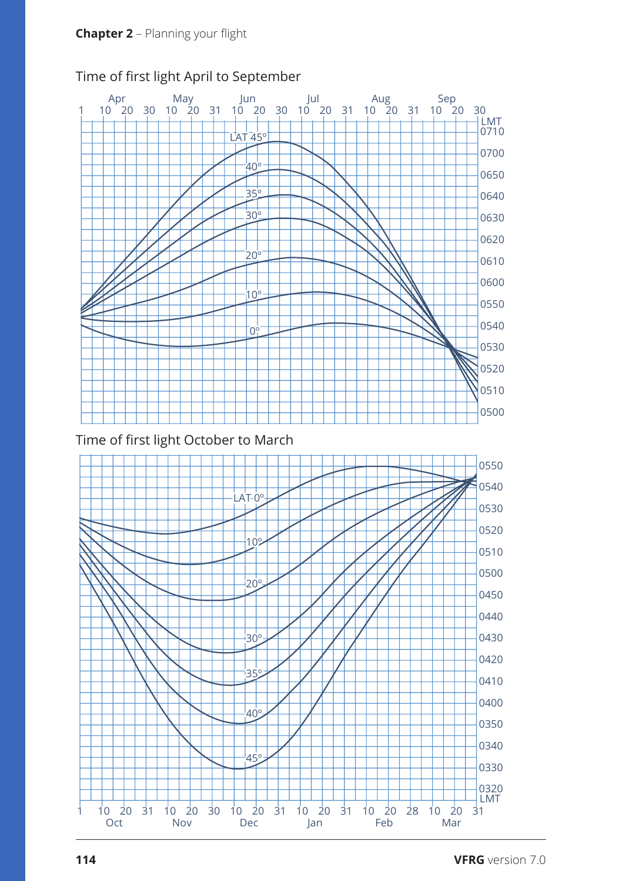

## Time of first light April to September